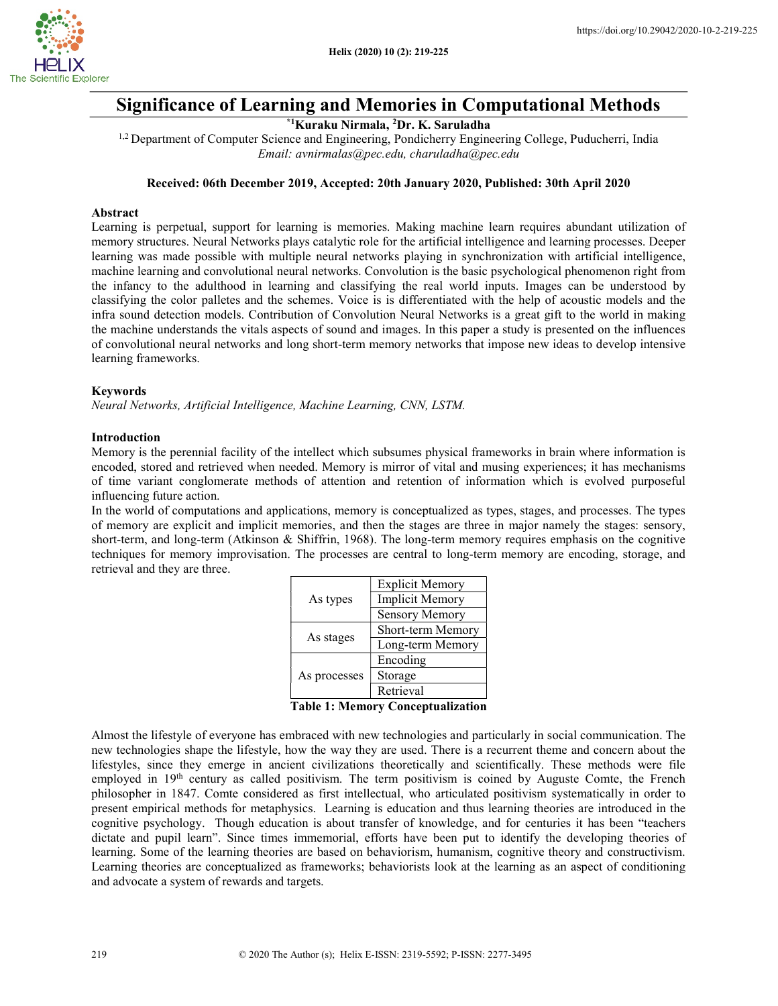

# Significance of Learning and Memories in Computational Methods

\*1Kuraku Nirmala, <sup>2</sup>Dr. K. Saruladha

<sup>1,2</sup> Department of Computer Science and Engineering, Pondicherry Engineering College, Puducherri, India Email: avnirmalas@pec.edu, charuladha@pec.edu

### Received: 06th December 2019, Accepted: 20th January 2020, Published: 30th April 2020

### Abstract

Learning is perpetual, support for learning is memories. Making machine learn requires abundant utilization of memory structures. Neural Networks plays catalytic role for the artificial intelligence and learning processes. Deeper learning was made possible with multiple neural networks playing in synchronization with artificial intelligence, machine learning and convolutional neural networks. Convolution is the basic psychological phenomenon right from the infancy to the adulthood in learning and classifying the real world inputs. Images can be understood by classifying the color palletes and the schemes. Voice is is differentiated with the help of acoustic models and the infra sound detection models. Contribution of Convolution Neural Networks is a great gift to the world in making the machine understands the vitals aspects of sound and images. In this paper a study is presented on the influences of convolutional neural networks and long short-term memory networks that impose new ideas to develop intensive learning frameworks.

# Keywords

Neural Networks, Artificial Intelligence, Machine Learning, CNN, LSTM.

### Introduction

Memory is the perennial facility of the intellect which subsumes physical frameworks in brain where information is encoded, stored and retrieved when needed. Memory is mirror of vital and musing experiences; it has mechanisms of time variant conglomerate methods of attention and retention of information which is evolved purposeful influencing future action.

In the world of computations and applications, memory is conceptualized as types, stages, and processes. The types of memory are explicit and implicit memories, and then the stages are three in major namely the stages: sensory, short-term, and long-term (Atkinson & Shiffrin, 1968). The long-term memory requires emphasis on the cognitive techniques for memory improvisation. The processes are central to long-term memory are encoding, storage, and retrieval and they are three.

|              | <b>Explicit Memory</b> |  |
|--------------|------------------------|--|
| As types     | <b>Implicit Memory</b> |  |
|              | <b>Sensory Memory</b>  |  |
| As stages    | Short-term Memory      |  |
|              | Long-term Memory       |  |
| As processes | Encoding               |  |
|              | Storage                |  |
|              | Retrieval              |  |

Table 1: Memory Conceptualization

Almost the lifestyle of everyone has embraced with new technologies and particularly in social communication. The new technologies shape the lifestyle, how the way they are used. There is a recurrent theme and concern about the lifestyles, since they emerge in ancient civilizations theoretically and scientifically. These methods were file employed in 19<sup>th</sup> century as called positivism. The term positivism is coined by Auguste Comte, the French philosopher in 1847. Comte considered as first intellectual, who articulated positivism systematically in order to present empirical methods for metaphysics. Learning is education and thus learning theories are introduced in the cognitive psychology. Though education is about transfer of knowledge, and for centuries it has been "teachers dictate and pupil learn". Since times immemorial, efforts have been put to identify the developing theories of learning. Some of the learning theories are based on behaviorism, humanism, cognitive theory and constructivism. Learning theories are conceptualized as frameworks; behaviorists look at the learning as an aspect of conditioning and advocate a system of rewards and targets.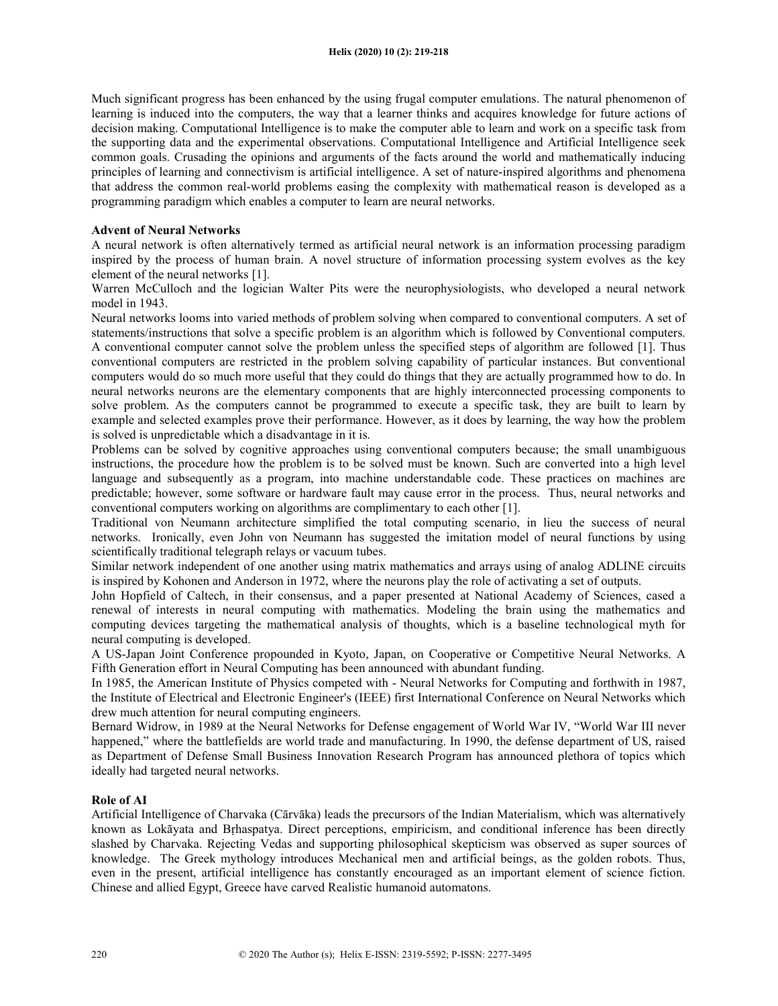Much significant progress has been enhanced by the using frugal computer emulations. The natural phenomenon of learning is induced into the computers, the way that a learner thinks and acquires knowledge for future actions of decision making. Computational Intelligence is to make the computer able to learn and work on a specific task from the supporting data and the experimental observations. Computational Intelligence and Artificial Intelligence seek common goals. Crusading the opinions and arguments of the facts around the world and mathematically inducing principles of learning and connectivism is artificial intelligence. A set of nature-inspired algorithms and phenomena that address the common real-world problems easing the complexity with mathematical reason is developed as a programming paradigm which enables a computer to learn are neural networks.

# Advent of Neural Networks

A neural network is often alternatively termed as artificial neural network is an information processing paradigm inspired by the process of human brain. A novel structure of information processing system evolves as the key element of the neural networks [1].

Warren McCulloch and the logician Walter Pits were the neurophysiologists, who developed a neural network model in 1943.

Neural networks looms into varied methods of problem solving when compared to conventional computers. A set of statements/instructions that solve a specific problem is an algorithm which is followed by Conventional computers. A conventional computer cannot solve the problem unless the specified steps of algorithm are followed [1]. Thus conventional computers are restricted in the problem solving capability of particular instances. But conventional computers would do so much more useful that they could do things that they are actually programmed how to do. In neural networks neurons are the elementary components that are highly interconnected processing components to solve problem. As the computers cannot be programmed to execute a specific task, they are built to learn by example and selected examples prove their performance. However, as it does by learning, the way how the problem is solved is unpredictable which a disadvantage in it is.

Problems can be solved by cognitive approaches using conventional computers because; the small unambiguous instructions, the procedure how the problem is to be solved must be known. Such are converted into a high level language and subsequently as a program, into machine understandable code. These practices on machines are predictable; however, some software or hardware fault may cause error in the process. Thus, neural networks and conventional computers working on algorithms are complimentary to each other [1].

Traditional von Neumann architecture simplified the total computing scenario, in lieu the success of neural networks. Ironically, even John von Neumann has suggested the imitation model of neural functions by using scientifically traditional telegraph relays or vacuum tubes.

Similar network independent of one another using matrix mathematics and arrays using of analog ADLINE circuits is inspired by Kohonen and Anderson in 1972, where the neurons play the role of activating a set of outputs.

John Hopfield of Caltech, in their consensus, and a paper presented at National Academy of Sciences, cased a renewal of interests in neural computing with mathematics. Modeling the brain using the mathematics and computing devices targeting the mathematical analysis of thoughts, which is a baseline technological myth for neural computing is developed.

A US-Japan Joint Conference propounded in Kyoto, Japan, on Cooperative or Competitive Neural Networks. A Fifth Generation effort in Neural Computing has been announced with abundant funding.

In 1985, the American Institute of Physics competed with - Neural Networks for Computing and forthwith in 1987, the Institute of Electrical and Electronic Engineer's (IEEE) first International Conference on Neural Networks which drew much attention for neural computing engineers.

Bernard Widrow, in 1989 at the Neural Networks for Defense engagement of World War IV, "World War III never happened," where the battlefields are world trade and manufacturing. In 1990, the defense department of US, raised as Department of Defense Small Business Innovation Research Program has announced plethora of topics which ideally had targeted neural networks.

### Role of AI

Artificial Intelligence of Charvaka (Cārvāka) leads the precursors of the Indian Materialism, which was alternatively known as Lokāyata and Bṛhaspatya. Direct perceptions, empiricism, and conditional inference has been directly slashed by Charvaka. Rejecting Vedas and supporting philosophical skepticism was observed as super sources of knowledge. The Greek mythology introduces Mechanical men and artificial beings, as the golden robots. Thus, even in the present, artificial intelligence has constantly encouraged as an important element of science fiction. Chinese and allied Egypt, Greece have carved Realistic humanoid automatons.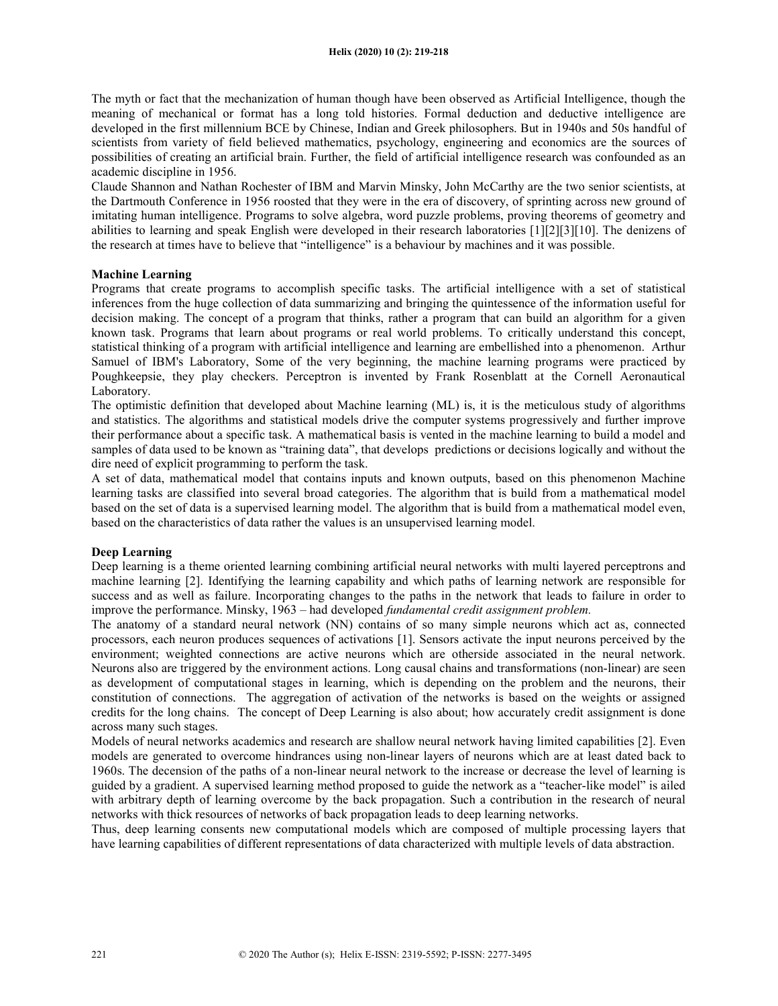The myth or fact that the mechanization of human though have been observed as Artificial Intelligence, though the meaning of mechanical or format has a long told histories. Formal deduction and deductive intelligence are developed in the first millennium BCE by Chinese, Indian and Greek philosophers. But in 1940s and 50s handful of scientists from variety of field believed mathematics, psychology, engineering and economics are the sources of possibilities of creating an artificial brain. Further, the field of artificial intelligence research was confounded as an academic discipline in 1956.

Claude Shannon and Nathan Rochester of IBM and Marvin Minsky, John McCarthy are the two senior scientists, at the Dartmouth Conference in 1956 roosted that they were in the era of discovery, of sprinting across new ground of imitating human intelligence. Programs to solve algebra, word puzzle problems, proving theorems of geometry and abilities to learning and speak English were developed in their research laboratories [1][2][3][10]. The denizens of the research at times have to believe that "intelligence" is a behaviour by machines and it was possible.

# Machine Learning

Programs that create programs to accomplish specific tasks. The artificial intelligence with a set of statistical inferences from the huge collection of data summarizing and bringing the quintessence of the information useful for decision making. The concept of a program that thinks, rather a program that can build an algorithm for a given known task. Programs that learn about programs or real world problems. To critically understand this concept, statistical thinking of a program with artificial intelligence and learning are embellished into a phenomenon. Arthur Samuel of IBM's Laboratory, Some of the very beginning, the machine learning programs were practiced by Poughkeepsie, they play checkers. Perceptron is invented by Frank Rosenblatt at the Cornell Aeronautical Laboratory.

The optimistic definition that developed about Machine learning (ML) is, it is the meticulous study of algorithms and statistics. The algorithms and statistical models drive the computer systems progressively and further improve their performance about a specific task. A mathematical basis is vented in the machine learning to build a model and samples of data used to be known as "training data", that develops predictions or decisions logically and without the dire need of explicit programming to perform the task.

A set of data, mathematical model that contains inputs and known outputs, based on this phenomenon Machine learning tasks are classified into several broad categories. The algorithm that is build from a mathematical model based on the set of data is a supervised learning model. The algorithm that is build from a mathematical model even, based on the characteristics of data rather the values is an unsupervised learning model.

# Deep Learning

Deep learning is a theme oriented learning combining artificial neural networks with multi layered perceptrons and machine learning [2]. Identifying the learning capability and which paths of learning network are responsible for success and as well as failure. Incorporating changes to the paths in the network that leads to failure in order to improve the performance. Minsky, 1963 – had developed fundamental credit assignment problem.

The anatomy of a standard neural network (NN) contains of so many simple neurons which act as, connected processors, each neuron produces sequences of activations [1]. Sensors activate the input neurons perceived by the environment; weighted connections are active neurons which are otherside associated in the neural network. Neurons also are triggered by the environment actions. Long causal chains and transformations (non-linear) are seen as development of computational stages in learning, which is depending on the problem and the neurons, their constitution of connections. The aggregation of activation of the networks is based on the weights or assigned credits for the long chains. The concept of Deep Learning is also about; how accurately credit assignment is done across many such stages.

Models of neural networks academics and research are shallow neural network having limited capabilities [2]. Even models are generated to overcome hindrances using non-linear layers of neurons which are at least dated back to 1960s. The decension of the paths of a non-linear neural network to the increase or decrease the level of learning is guided by a gradient. A supervised learning method proposed to guide the network as a "teacher-like model" is ailed with arbitrary depth of learning overcome by the back propagation. Such a contribution in the research of neural networks with thick resources of networks of back propagation leads to deep learning networks.

Thus, deep learning consents new computational models which are composed of multiple processing layers that have learning capabilities of different representations of data characterized with multiple levels of data abstraction.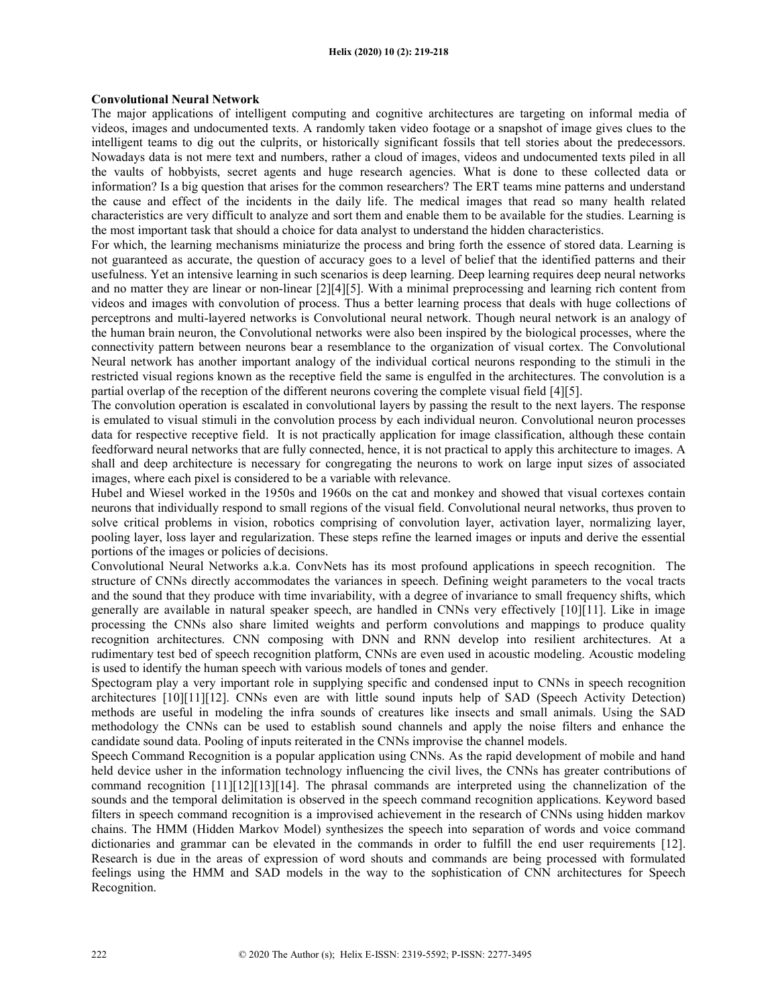#### Helix (2020) 10 (2): 219-218

### Convolutional Neural Network

The major applications of intelligent computing and cognitive architectures are targeting on informal media of videos, images and undocumented texts. A randomly taken video footage or a snapshot of image gives clues to the intelligent teams to dig out the culprits, or historically significant fossils that tell stories about the predecessors. Nowadays data is not mere text and numbers, rather a cloud of images, videos and undocumented texts piled in all the vaults of hobbyists, secret agents and huge research agencies. What is done to these collected data or information? Is a big question that arises for the common researchers? The ERT teams mine patterns and understand the cause and effect of the incidents in the daily life. The medical images that read so many health related characteristics are very difficult to analyze and sort them and enable them to be available for the studies. Learning is the most important task that should a choice for data analyst to understand the hidden characteristics.

For which, the learning mechanisms miniaturize the process and bring forth the essence of stored data. Learning is not guaranteed as accurate, the question of accuracy goes to a level of belief that the identified patterns and their usefulness. Yet an intensive learning in such scenarios is deep learning. Deep learning requires deep neural networks and no matter they are linear or non-linear [2][4][5]. With a minimal preprocessing and learning rich content from videos and images with convolution of process. Thus a better learning process that deals with huge collections of perceptrons and multi-layered networks is Convolutional neural network. Though neural network is an analogy of the human brain neuron, the Convolutional networks were also been inspired by the biological processes, where the connectivity pattern between neurons bear a resemblance to the organization of visual cortex. The Convolutional Neural network has another important analogy of the individual cortical neurons responding to the stimuli in the restricted visual regions known as the receptive field the same is engulfed in the architectures. The convolution is a partial overlap of the reception of the different neurons covering the complete visual field [4][5].

The convolution operation is escalated in convolutional layers by passing the result to the next layers. The response is emulated to visual stimuli in the convolution process by each individual neuron. Convolutional neuron processes data for respective receptive field. It is not practically application for image classification, although these contain feedforward neural networks that are fully connected, hence, it is not practical to apply this architecture to images. A shall and deep architecture is necessary for congregating the neurons to work on large input sizes of associated images, where each pixel is considered to be a variable with relevance.

Hubel and Wiesel worked in the 1950s and 1960s on the cat and monkey and showed that visual cortexes contain neurons that individually respond to small regions of the visual field. Convolutional neural networks, thus proven to solve critical problems in vision, robotics comprising of convolution layer, activation layer, normalizing layer, pooling layer, loss layer and regularization. These steps refine the learned images or inputs and derive the essential portions of the images or policies of decisions.

Convolutional Neural Networks a.k.a. ConvNets has its most profound applications in speech recognition. The structure of CNNs directly accommodates the variances in speech. Defining weight parameters to the vocal tracts and the sound that they produce with time invariability, with a degree of invariance to small frequency shifts, which generally are available in natural speaker speech, are handled in CNNs very effectively [10][11]. Like in image processing the CNNs also share limited weights and perform convolutions and mappings to produce quality recognition architectures. CNN composing with DNN and RNN develop into resilient architectures. At a rudimentary test bed of speech recognition platform, CNNs are even used in acoustic modeling. Acoustic modeling is used to identify the human speech with various models of tones and gender.

Spectogram play a very important role in supplying specific and condensed input to CNNs in speech recognition architectures [10][11][12]. CNNs even are with little sound inputs help of SAD (Speech Activity Detection) methods are useful in modeling the infra sounds of creatures like insects and small animals. Using the SAD methodology the CNNs can be used to establish sound channels and apply the noise filters and enhance the candidate sound data. Pooling of inputs reiterated in the CNNs improvise the channel models.

Speech Command Recognition is a popular application using CNNs. As the rapid development of mobile and hand held device usher in the information technology influencing the civil lives, the CNNs has greater contributions of command recognition [11][12][13][14]. The phrasal commands are interpreted using the channelization of the sounds and the temporal delimitation is observed in the speech command recognition applications. Keyword based filters in speech command recognition is a improvised achievement in the research of CNNs using hidden markov chains. The HMM (Hidden Markov Model) synthesizes the speech into separation of words and voice command dictionaries and grammar can be elevated in the commands in order to fulfill the end user requirements [12]. Research is due in the areas of expression of word shouts and commands are being processed with formulated feelings using the HMM and SAD models in the way to the sophistication of CNN architectures for Speech Recognition.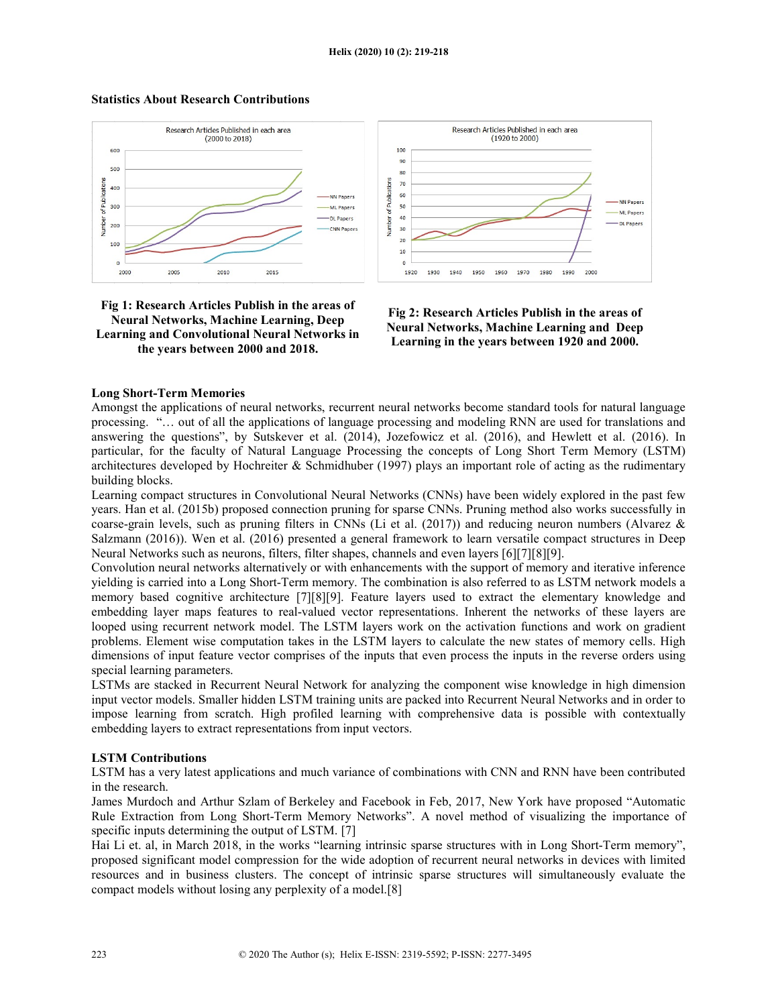

# Statistics About Research Contributions





#### Long Short-Term Memories

Amongst the applications of neural networks, recurrent neural networks become standard tools for natural language processing. "… out of all the applications of language processing and modeling RNN are used for translations and answering the questions", by Sutskever et al. (2014), Jozefowicz et al. (2016), and Hewlett et al. (2016). In particular, for the faculty of Natural Language Processing the concepts of Long Short Term Memory (LSTM) architectures developed by Hochreiter & Schmidhuber (1997) plays an important role of acting as the rudimentary building blocks.

Learning compact structures in Convolutional Neural Networks (CNNs) have been widely explored in the past few years. Han et al. (2015b) proposed connection pruning for sparse CNNs. Pruning method also works successfully in coarse-grain levels, such as pruning filters in CNNs (Li et al. (2017)) and reducing neuron numbers (Alvarez & Salzmann (2016)). Wen et al. (2016) presented a general framework to learn versatile compact structures in Deep Neural Networks such as neurons, filters, filter shapes, channels and even layers [6][7][8][9].

Convolution neural networks alternatively or with enhancements with the support of memory and iterative inference yielding is carried into a Long Short-Term memory. The combination is also referred to as LSTM network models a memory based cognitive architecture [7][8][9]. Feature layers used to extract the elementary knowledge and embedding layer maps features to real-valued vector representations. Inherent the networks of these layers are looped using recurrent network model. The LSTM layers work on the activation functions and work on gradient problems. Element wise computation takes in the LSTM layers to calculate the new states of memory cells. High dimensions of input feature vector comprises of the inputs that even process the inputs in the reverse orders using special learning parameters.

LSTMs are stacked in Recurrent Neural Network for analyzing the component wise knowledge in high dimension input vector models. Smaller hidden LSTM training units are packed into Recurrent Neural Networks and in order to impose learning from scratch. High profiled learning with comprehensive data is possible with contextually embedding layers to extract representations from input vectors.

### LSTM Contributions

LSTM has a very latest applications and much variance of combinations with CNN and RNN have been contributed in the research.

James Murdoch and Arthur Szlam of Berkeley and Facebook in Feb, 2017, New York have proposed "Automatic Rule Extraction from Long Short-Term Memory Networks". A novel method of visualizing the importance of specific inputs determining the output of LSTM. [7]

Hai Li et. al, in March 2018, in the works "learning intrinsic sparse structures with in Long Short-Term memory", proposed significant model compression for the wide adoption of recurrent neural networks in devices with limited resources and in business clusters. The concept of intrinsic sparse structures will simultaneously evaluate the compact models without losing any perplexity of a model.[8]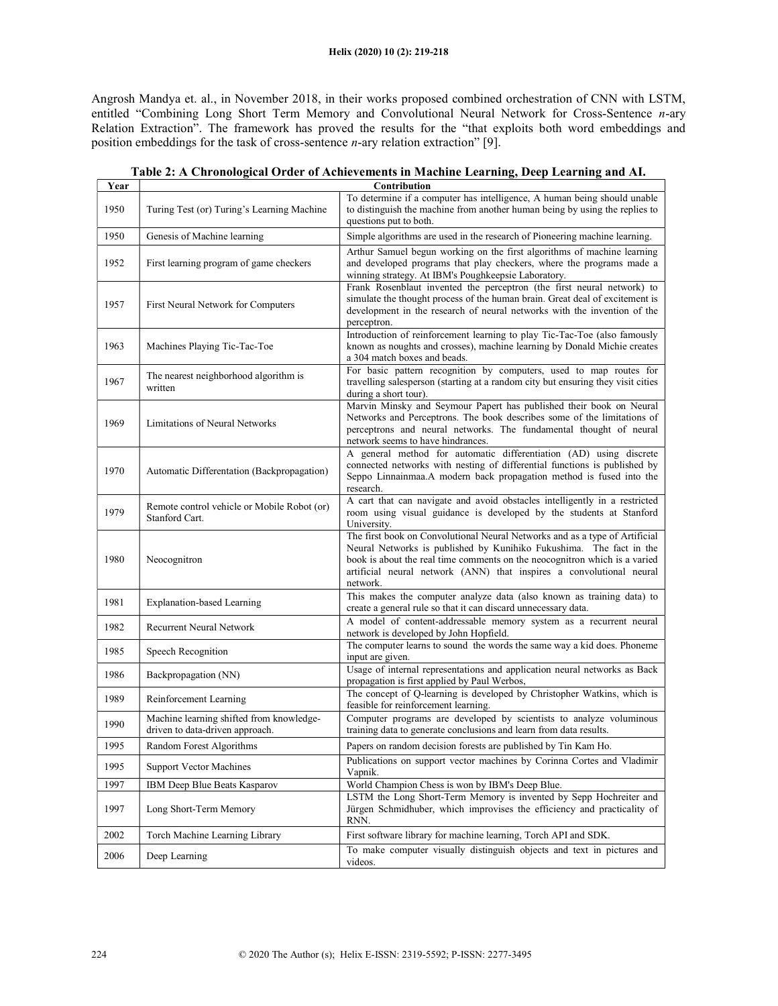### Helix (2020) 10 (2): 219-218

Angrosh Mandya et. al., in November 2018, in their works proposed combined orchestration of CNN with LSTM, entitled "Combining Long Short Term Memory and Convolutional Neural Network for Cross-Sentence n-ary Relation Extraction". The framework has proved the results for the "that exploits both word embeddings and position embeddings for the task of cross-sentence  $n$ -ary relation extraction" [9].

| Year | Contribution                                                                |                                                                                                                                                                                                                                                                                                                      |  |
|------|-----------------------------------------------------------------------------|----------------------------------------------------------------------------------------------------------------------------------------------------------------------------------------------------------------------------------------------------------------------------------------------------------------------|--|
| 1950 | Turing Test (or) Turing's Learning Machine                                  | To determine if a computer has intelligence, A human being should unable<br>to distinguish the machine from another human being by using the replies to<br>questions put to both.                                                                                                                                    |  |
| 1950 | Genesis of Machine learning                                                 | Simple algorithms are used in the research of Pioneering machine learning.                                                                                                                                                                                                                                           |  |
| 1952 | First learning program of game checkers                                     | Arthur Samuel begun working on the first algorithms of machine learning<br>and developed programs that play checkers, where the programs made a<br>winning strategy. At IBM's Poughkeepsie Laboratory.                                                                                                               |  |
| 1957 | First Neural Network for Computers                                          | Frank Rosenblaut invented the perceptron (the first neural network) to<br>simulate the thought process of the human brain. Great deal of excitement is<br>development in the research of neural networks with the invention of the<br>perceptron.                                                                    |  |
| 1963 | Machines Playing Tic-Tac-Toe                                                | Introduction of reinforcement learning to play Tic-Tac-Toe (also famously<br>known as noughts and crosses), machine learning by Donald Michie creates<br>a 304 match boxes and beads.                                                                                                                                |  |
| 1967 | The nearest neighborhood algorithm is<br>written                            | For basic pattern recognition by computers, used to map routes for<br>travelling salesperson (starting at a random city but ensuring they visit cities<br>during a short tour).                                                                                                                                      |  |
| 1969 | Limitations of Neural Networks                                              | Marvin Minsky and Seymour Papert has published their book on Neural<br>Networks and Perceptrons. The book describes some of the limitations of<br>perceptrons and neural networks. The fundamental thought of neural<br>network seems to have hindrances.                                                            |  |
| 1970 | Automatic Differentation (Backpropagation)                                  | A general method for automatic differentiation (AD) using discrete<br>connected networks with nesting of differential functions is published by<br>Seppo Linnainmaa.A modern back propagation method is fused into the<br>research.                                                                                  |  |
| 1979 | Remote control vehicle or Mobile Robot (or)<br>Stanford Cart.               | A cart that can navigate and avoid obstacles intelligently in a restricted<br>room using visual guidance is developed by the students at Stanford<br>University.                                                                                                                                                     |  |
| 1980 | Neocognitron                                                                | The first book on Convolutional Neural Networks and as a type of Artificial<br>Neural Networks is published by Kunihiko Fukushima. The fact in the<br>book is about the real time comments on the neocognitron which is a varied<br>artificial neural network (ANN) that inspires a convolutional neural<br>network. |  |
| 1981 | <b>Explanation-based Learning</b>                                           | This makes the computer analyze data (also known as training data) to<br>create a general rule so that it can discard unnecessary data.                                                                                                                                                                              |  |
| 1982 | <b>Recurrent Neural Network</b>                                             | A model of content-addressable memory system as a recurrent neural<br>network is developed by John Hopfield.                                                                                                                                                                                                         |  |
| 1985 | Speech Recognition                                                          | The computer learns to sound the words the same way a kid does. Phoneme<br>input are given.                                                                                                                                                                                                                          |  |
| 1986 | Backpropagation (NN)                                                        | Usage of internal representations and application neural networks as Back<br>propagation is first applied by Paul Werbos,                                                                                                                                                                                            |  |
| 1989 | Reinforcement Learning                                                      | The concept of Q-learning is developed by Christopher Watkins, which is<br>feasible for reinforcement learning.                                                                                                                                                                                                      |  |
| 1990 | Machine learning shifted from knowledge-<br>driven to data-driven approach. | Computer programs are developed by scientists to analyze voluminous<br>training data to generate conclusions and learn from data results.                                                                                                                                                                            |  |
| 1995 | Random Forest Algorithms                                                    | Papers on random decision forests are published by Tin Kam Ho.                                                                                                                                                                                                                                                       |  |
| 1995 | <b>Support Vector Machines</b>                                              | Publications on support vector machines by Corinna Cortes and Vladimir<br>Vapnik.                                                                                                                                                                                                                                    |  |
| 1997 | IBM Deep Blue Beats Kasparov                                                | World Champion Chess is won by IBM's Deep Blue.                                                                                                                                                                                                                                                                      |  |
| 1997 | Long Short-Term Memory                                                      | LSTM the Long Short-Term Memory is invented by Sepp Hochreiter and<br>Jürgen Schmidhuber, which improvises the efficiency and practicality of<br>RNN.                                                                                                                                                                |  |
| 2002 | Torch Machine Learning Library                                              | First software library for machine learning, Torch API and SDK.                                                                                                                                                                                                                                                      |  |
| 2006 | Deep Learning                                                               | To make computer visually distinguish objects and text in pictures and<br>videos.                                                                                                                                                                                                                                    |  |

| Table 2: A Chronological Order of Achievements in Machine Learning, Deep Learning and AI. |  |
|-------------------------------------------------------------------------------------------|--|
|                                                                                           |  |